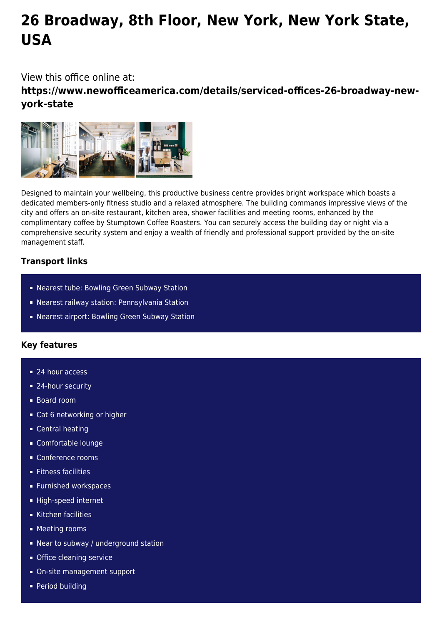# **26 Broadway, 8th Floor, New York, New York State, USA**

View this office online at:

**https://www.newofficeamerica.com/details/serviced-offices-26-broadway-newyork-state**



Designed to maintain your wellbeing, this productive business centre provides bright workspace which boasts a dedicated members-only fitness studio and a relaxed atmosphere. The building commands impressive views of the city and offers an on-site restaurant, kitchen area, shower facilities and meeting rooms, enhanced by the complimentary coffee by Stumptown Coffee Roasters. You can securely access the building day or night via a comprehensive security system and enjoy a wealth of friendly and professional support provided by the on-site management staff.

### **Transport links**

- **Nearest tube: Bowling Green Subway Station**
- Nearest railway station: Pennsylvania Station
- Nearest airport: Bowling Green Subway Station

## **Key features**

- 24 hour access
- 24-hour security
- Board room
- Cat 6 networking or higher
- **Central heating**
- Comfortable lounge
- Conference rooms
- **Fitness facilities**
- **Furnished workspaces**
- High-speed internet
- Kitchen facilities
- **Meeting rooms**
- Near to subway / underground station
- **Office cleaning service**
- On-site management support
- **Period building**